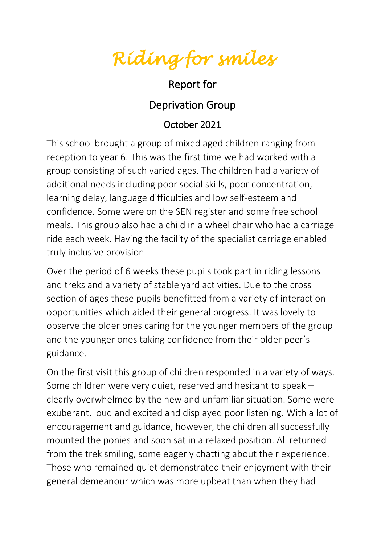*Riding for smiles* 

## Report for

## Deprivation Group

## October 2021

This school brought a group of mixed aged children ranging from reception to year 6. This was the first time we had worked with a group consisting of such varied ages. The children had a variety of additional needs including poor social skills, poor concentration, learning delay, language difficulties and low self-esteem and confidence. Some were on the SEN register and some free school meals. This group also had a child in a wheel chair who had a carriage ride each week. Having the facility of the specialist carriage enabled truly inclusive provision

Over the period of 6 weeks these pupils took part in riding lessons and treks and a variety of stable yard activities. Due to the cross section of ages these pupils benefitted from a variety of interaction opportunities which aided their general progress. It was lovely to observe the older ones caring for the younger members of the group and the younger ones taking confidence from their older peer's guidance.

On the first visit this group of children responded in a variety of ways. Some children were very quiet, reserved and hesitant to speak – clearly overwhelmed by the new and unfamiliar situation. Some were exuberant, loud and excited and displayed poor listening. With a lot of encouragement and guidance, however, the children all successfully mounted the ponies and soon sat in a relaxed position. All returned from the trek smiling, some eagerly chatting about their experience. Those who remained quiet demonstrated their enjoyment with their general demeanour which was more upbeat than when they had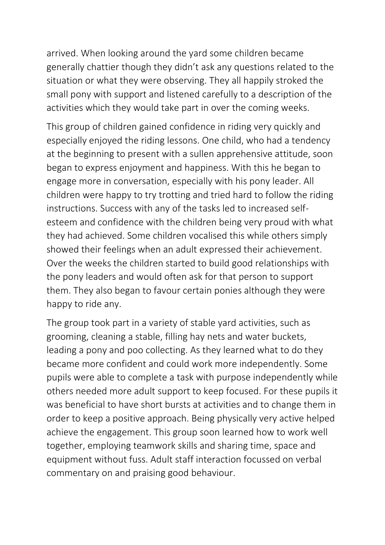arrived. When looking around the yard some children became generally chattier though they didn't ask any questions related to the situation or what they were observing. They all happily stroked the small pony with support and listened carefully to a description of the activities which they would take part in over the coming weeks.

This group of children gained confidence in riding very quickly and especially enjoyed the riding lessons. One child, who had a tendency at the beginning to present with a sullen apprehensive attitude, soon began to express enjoyment and happiness. With this he began to engage more in conversation, especially with his pony leader. All children were happy to try trotting and tried hard to follow the riding instructions. Success with any of the tasks led to increased selfesteem and confidence with the children being very proud with what they had achieved. Some children vocalised this while others simply showed their feelings when an adult expressed their achievement. Over the weeks the children started to build good relationships with the pony leaders and would often ask for that person to support them. They also began to favour certain ponies although they were happy to ride any.

The group took part in a variety of stable yard activities, such as grooming, cleaning a stable, filling hay nets and water buckets, leading a pony and poo collecting. As they learned what to do they became more confident and could work more independently. Some pupils were able to complete a task with purpose independently while others needed more adult support to keep focused. For these pupils it was beneficial to have short bursts at activities and to change them in order to keep a positive approach. Being physically very active helped achieve the engagement. This group soon learned how to work well together, employing teamwork skills and sharing time, space and equipment without fuss. Adult staff interaction focussed on verbal commentary on and praising good behaviour.